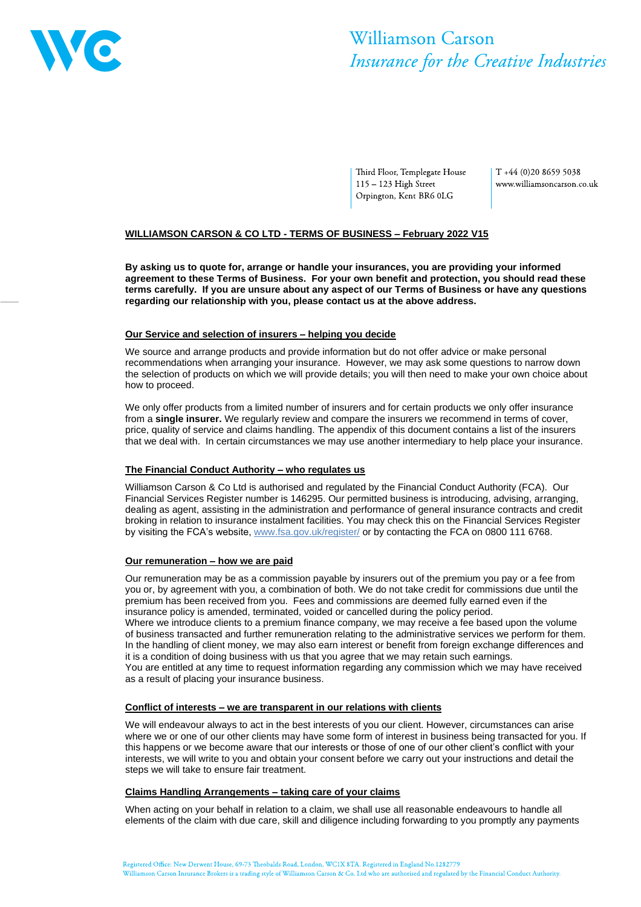

# Williamson Carson Insurance for the Creative Industries

Third Floor, Templegate House 115 - 123 High Street Orpington, Kent BR6 0LG

 $T + 44 (0)20 8659 5038$ www.williamsoncarson.co.uk

# **WILLIAMSON CARSON & CO LTD - TERMS OF BUSINESS – February 2022 V15**

**By asking us to quote for, arrange or handle your insurances, you are providing your informed agreement to these Terms of Business. For your own benefit and protection, you should read these terms carefully. If you are unsure about any aspect of our Terms of Business or have any questions regarding our relationship with you, please contact us at the above address.**

#### **Our Service and selection of insurers – helping you decide**

We source and arrange products and provide information but do not offer advice or make personal recommendations when arranging your insurance. However, we may ask some questions to narrow down the selection of products on which we will provide details; you will then need to make your own choice about how to proceed.

We only offer products from a limited number of insurers and for certain products we only offer insurance from a **single insurer.** We regularly review and compare the insurers we recommend in terms of cover, price, quality of service and claims handling. The appendix of this document contains a list of the insurers that we deal with. In certain circumstances we may use another intermediary to help place your insurance.

# **The Financial Conduct Authority – who regulates us**

Williamson Carson & Co Ltd is authorised and regulated by the Financial Conduct Authority (FCA). Our Financial Services Register number is 146295. Our permitted business is introducing, advising, arranging, dealing as agent, assisting in the administration and performance of general insurance contracts and credit broking in relation to insurance instalment facilities. You may check this on the Financial Services Register by visiting the FCA's website, [www.fsa.gov.uk/register/](http://www.fsa.gov.uk/register/home.do) or by contacting the FCA on 0800 111 6768.

# **Our remuneration – how we are paid**

Our remuneration may be as a commission payable by insurers out of the premium you pay or a fee from you or, by agreement with you, a combination of both. We do not take credit for commissions due until the premium has been received from you. Fees and commissions are deemed fully earned even if the insurance policy is amended, terminated, voided or cancelled during the policy period. Where we introduce clients to a premium finance company, we may receive a fee based upon the volume of business transacted and further remuneration relating to the administrative services we perform for them. In the handling of client money, we may also earn interest or benefit from foreign exchange differences and it is a condition of doing business with us that you agree that we may retain such earnings. You are entitled at any time to request information regarding any commission which we may have received as a result of placing your insurance business.

# **Conflict of interests – we are transparent in our relations with clients**

We will endeavour always to act in the best interests of you our client. However, circumstances can arise where we or one of our other clients may have some form of interest in business being transacted for you. If this happens or we become aware that our interests or those of one of our other client's conflict with your interests, we will write to you and obtain your consent before we carry out your instructions and detail the steps we will take to ensure fair treatment.

# **Claims Handling Arrangements – taking care of your claims**

When acting on your behalf in relation to a claim, we shall use all reasonable endeavours to handle all elements of the claim with due care, skill and diligence including forwarding to you promptly any payments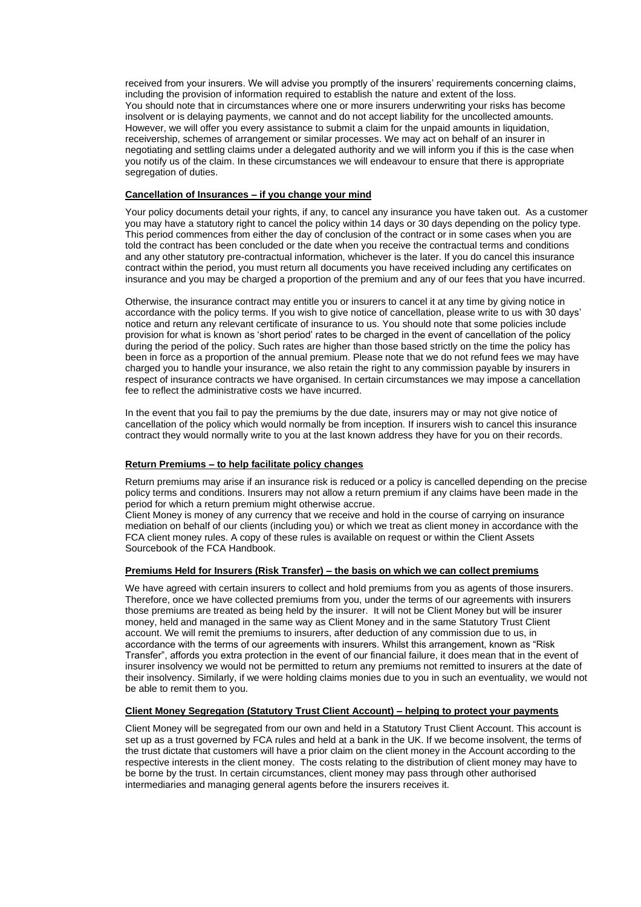received from your insurers. We will advise you promptly of the insurers' requirements concerning claims, including the provision of information required to establish the nature and extent of the loss. You should note that in circumstances where one or more insurers underwriting your risks has become insolvent or is delaying payments, we cannot and do not accept liability for the uncollected amounts. However, we will offer you every assistance to submit a claim for the unpaid amounts in liquidation, receivership, schemes of arrangement or similar processes. We may act on behalf of an insurer in negotiating and settling claims under a delegated authority and we will inform you if this is the case when you notify us of the claim. In these circumstances we will endeavour to ensure that there is appropriate segregation of duties.

# **Cancellation of Insurances – if you change your mind**

Your policy documents detail your rights, if any, to cancel any insurance you have taken out. As a customer you may have a statutory right to cancel the policy within 14 days or 30 days depending on the policy type. This period commences from either the day of conclusion of the contract or in some cases when you are told the contract has been concluded or the date when you receive the contractual terms and conditions and any other statutory pre-contractual information, whichever is the later. If you do cancel this insurance contract within the period, you must return all documents you have received including any certificates on insurance and you may be charged a proportion of the premium and any of our fees that you have incurred.

Otherwise, the insurance contract may entitle you or insurers to cancel it at any time by giving notice in accordance with the policy terms. If you wish to give notice of cancellation, please write to us with 30 days' notice and return any relevant certificate of insurance to us. You should note that some policies include provision for what is known as 'short period' rates to be charged in the event of cancellation of the policy during the period of the policy. Such rates are higher than those based strictly on the time the policy has been in force as a proportion of the annual premium. Please note that we do not refund fees we may have charged you to handle your insurance, we also retain the right to any commission payable by insurers in respect of insurance contracts we have organised. In certain circumstances we may impose a cancellation fee to reflect the administrative costs we have incurred.

In the event that you fail to pay the premiums by the due date, insurers may or may not give notice of cancellation of the policy which would normally be from inception. If insurers wish to cancel this insurance contract they would normally write to you at the last known address they have for you on their records.

# **Return Premiums – to help facilitate policy changes**

Return premiums may arise if an insurance risk is reduced or a policy is cancelled depending on the precise policy terms and conditions. Insurers may not allow a return premium if any claims have been made in the period for which a return premium might otherwise accrue.

Client Money is money of any currency that we receive and hold in the course of carrying on insurance mediation on behalf of our clients (including you) or which we treat as client money in accordance with the FCA client money rules. A copy of these rules is available on request or within the Client Assets Sourcebook of the FCA Handbook.

#### **Premiums Held for Insurers (Risk Transfer) – the basis on which we can collect premiums**

We have agreed with certain insurers to collect and hold premiums from you as agents of those insurers. Therefore, once we have collected premiums from you, under the terms of our agreements with insurers those premiums are treated as being held by the insurer. It will not be Client Money but will be insurer money, held and managed in the same way as Client Money and in the same Statutory Trust Client account. We will remit the premiums to insurers, after deduction of any commission due to us, in accordance with the terms of our agreements with insurers. Whilst this arrangement, known as "Risk Transfer", affords you extra protection in the event of our financial failure, it does mean that in the event of insurer insolvency we would not be permitted to return any premiums not remitted to insurers at the date of their insolvency. Similarly, if we were holding claims monies due to you in such an eventuality, we would not be able to remit them to you.

#### **Client Money Segregation (Statutory Trust Client Account) – helping to protect your payments**

Client Money will be segregated from our own and held in a Statutory Trust Client Account. This account is set up as a trust governed by FCA rules and held at a bank in the UK. If we become insolvent, the terms of the trust dictate that customers will have a prior claim on the client money in the Account according to the respective interests in the client money. The costs relating to the distribution of client money may have to be borne by the trust. In certain circumstances, client money may pass through other authorised intermediaries and managing general agents before the insurers receives it.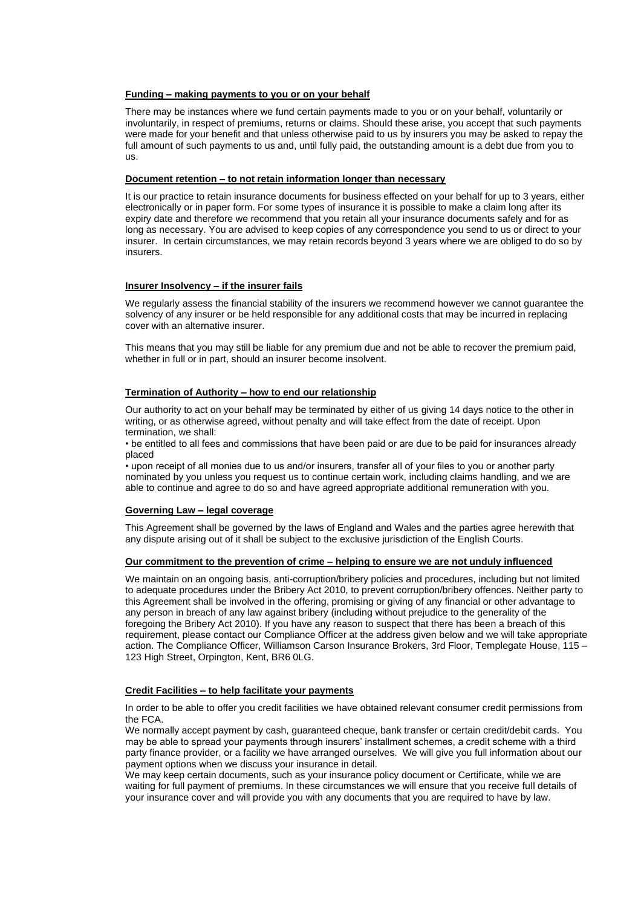# **Funding – making payments to you or on your behalf**

There may be instances where we fund certain payments made to you or on your behalf, voluntarily or involuntarily, in respect of premiums, returns or claims. Should these arise, you accept that such payments were made for your benefit and that unless otherwise paid to us by insurers you may be asked to repay the full amount of such payments to us and, until fully paid, the outstanding amount is a debt due from you to us.

#### **Document retention – to not retain information longer than necessary**

It is our practice to retain insurance documents for business effected on your behalf for up to 3 years, either electronically or in paper form. For some types of insurance it is possible to make a claim long after its expiry date and therefore we recommend that you retain all your insurance documents safely and for as long as necessary. You are advised to keep copies of any correspondence you send to us or direct to your insurer. In certain circumstances, we may retain records beyond 3 years where we are obliged to do so by insurers.

# **Insurer Insolvency – if the insurer fails**

We regularly assess the financial stability of the insurers we recommend however we cannot guarantee the solvency of any insurer or be held responsible for any additional costs that may be incurred in replacing cover with an alternative insurer.

This means that you may still be liable for any premium due and not be able to recover the premium paid, whether in full or in part, should an insurer become insolvent.

#### **Termination of Authority – how to end our relationship**

Our authority to act on your behalf may be terminated by either of us giving 14 days notice to the other in writing, or as otherwise agreed, without penalty and will take effect from the date of receipt. Upon termination, we shall:

• be entitled to all fees and commissions that have been paid or are due to be paid for insurances already placed

• upon receipt of all monies due to us and/or insurers, transfer all of your files to you or another party nominated by you unless you request us to continue certain work, including claims handling, and we are able to continue and agree to do so and have agreed appropriate additional remuneration with you.

# **Governing Law – legal coverage**

This Agreement shall be governed by the laws of England and Wales and the parties agree herewith that any dispute arising out of it shall be subject to the exclusive jurisdiction of the English Courts.

#### **Our commitment to the prevention of crime – helping to ensure we are not unduly influenced**

We maintain on an ongoing basis, anti-corruption/bribery policies and procedures, including but not limited to adequate procedures under the Bribery Act 2010, to prevent corruption/bribery offences. Neither party to this Agreement shall be involved in the offering, promising or giving of any financial or other advantage to any person in breach of any law against bribery (including without prejudice to the generality of the foregoing the Bribery Act 2010). If you have any reason to suspect that there has been a breach of this requirement, please contact our Compliance Officer at the address given below and we will take appropriate action. The Compliance Officer, Williamson Carson Insurance Brokers, 3rd Floor, Templegate House, 115 – 123 High Street, Orpington, Kent, BR6 0LG.

#### **Credit Facilities – to help facilitate your payments**

In order to be able to offer you credit facilities we have obtained relevant consumer credit permissions from the FCA.

We normally accept payment by cash, guaranteed cheque, bank transfer or certain credit/debit cards. You may be able to spread your payments through insurers' installment schemes, a credit scheme with a third party finance provider, or a facility we have arranged ourselves. We will give you full information about our payment options when we discuss your insurance in detail.

We may keep certain documents, such as your insurance policy document or Certificate, while we are waiting for full payment of premiums. In these circumstances we will ensure that you receive full details of your insurance cover and will provide you with any documents that you are required to have by law.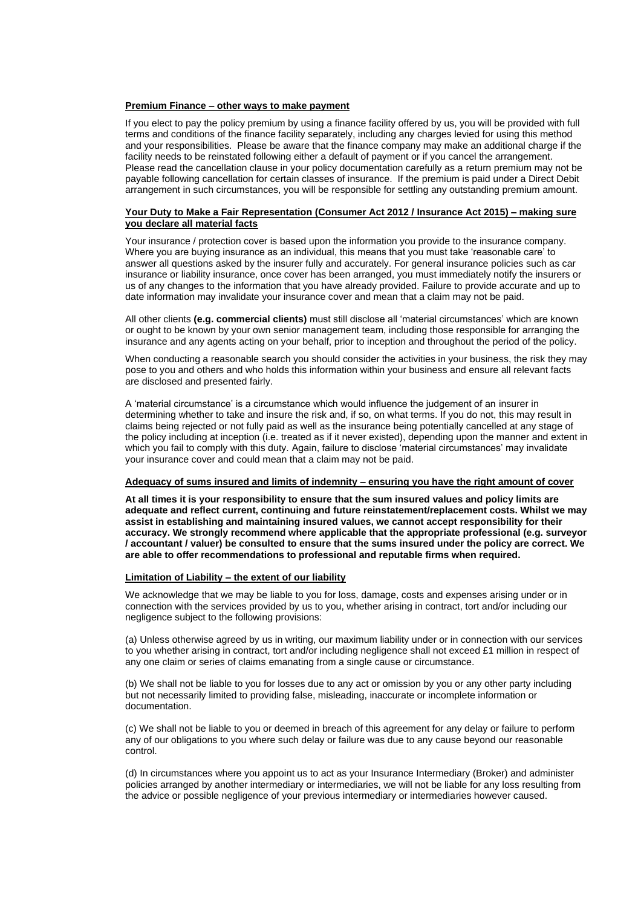#### **Premium Finance – other ways to make payment**

If you elect to pay the policy premium by using a finance facility offered by us, you will be provided with full terms and conditions of the finance facility separately, including any charges levied for using this method and your responsibilities. Please be aware that the finance company may make an additional charge if the facility needs to be reinstated following either a default of payment or if you cancel the arrangement. Please read the cancellation clause in your policy documentation carefully as a return premium may not be payable following cancellation for certain classes of insurance. If the premium is paid under a Direct Debit arrangement in such circumstances, you will be responsible for settling any outstanding premium amount.

#### **Your Duty to Make a Fair Representation (Consumer Act 2012 / Insurance Act 2015) – making sure you declare all material facts**

Your insurance / protection cover is based upon the information you provide to the insurance company. Where you are buying insurance as an individual, this means that you must take 'reasonable care' to answer all questions asked by the insurer fully and accurately. For general insurance policies such as car insurance or liability insurance, once cover has been arranged, you must immediately notify the insurers or us of any changes to the information that you have already provided. Failure to provide accurate and up to date information may invalidate your insurance cover and mean that a claim may not be paid.

All other clients **(e.g. commercial clients)** must still disclose all 'material circumstances' which are known or ought to be known by your own senior management team, including those responsible for arranging the insurance and any agents acting on your behalf, prior to inception and throughout the period of the policy.

When conducting a reasonable search you should consider the activities in your business, the risk they may pose to you and others and who holds this information within your business and ensure all relevant facts are disclosed and presented fairly.

A 'material circumstance' is a circumstance which would influence the judgement of an insurer in determining whether to take and insure the risk and, if so, on what terms. If you do not, this may result in claims being rejected or not fully paid as well as the insurance being potentially cancelled at any stage of the policy including at inception (i.e. treated as if it never existed), depending upon the manner and extent in which you fail to comply with this duty. Again, failure to disclose 'material circumstances' may invalidate your insurance cover and could mean that a claim may not be paid.

#### **Adequacy of sums insured and limits of indemnity – ensuring you have the right amount of cover**

**At all times it is your responsibility to ensure that the sum insured values and policy limits are adequate and reflect current, continuing and future reinstatement/replacement costs. Whilst we may assist in establishing and maintaining insured values, we cannot accept responsibility for their accuracy. We strongly recommend where applicable that the appropriate professional (e.g. surveyor / accountant / valuer) be consulted to ensure that the sums insured under the policy are correct. We are able to offer recommendations to professional and reputable firms when required.** 

# **Limitation of Liability – the extent of our liability**

We acknowledge that we may be liable to you for loss, damage, costs and expenses arising under or in connection with the services provided by us to you, whether arising in contract, tort and/or including our negligence subject to the following provisions:

(a) Unless otherwise agreed by us in writing, our maximum liability under or in connection with our services to you whether arising in contract, tort and/or including negligence shall not exceed £1 million in respect of any one claim or series of claims emanating from a single cause or circumstance.

(b) We shall not be liable to you for losses due to any act or omission by you or any other party including but not necessarily limited to providing false, misleading, inaccurate or incomplete information or documentation.

(c) We shall not be liable to you or deemed in breach of this agreement for any delay or failure to perform any of our obligations to you where such delay or failure was due to any cause beyond our reasonable control.

(d) In circumstances where you appoint us to act as your Insurance Intermediary (Broker) and administer policies arranged by another intermediary or intermediaries, we will not be liable for any loss resulting from the advice or possible negligence of your previous intermediary or intermediaries however caused.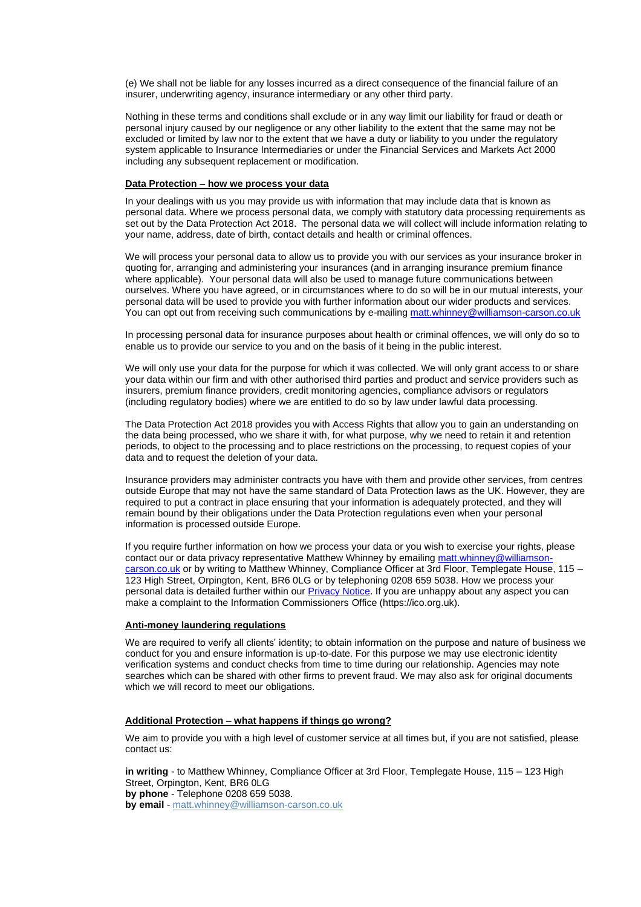(e) We shall not be liable for any losses incurred as a direct consequence of the financial failure of an insurer, underwriting agency, insurance intermediary or any other third party.

Nothing in these terms and conditions shall exclude or in any way limit our liability for fraud or death or personal injury caused by our negligence or any other liability to the extent that the same may not be excluded or limited by law nor to the extent that we have a duty or liability to you under the regulatory system applicable to Insurance Intermediaries or under the Financial Services and Markets Act 2000 including any subsequent replacement or modification.

# **Data Protection – how we process your data**

In your dealings with us you may provide us with information that may include data that is known as personal data. Where we process personal data, we comply with statutory data processing requirements as set out by the Data Protection Act 2018. The personal data we will collect will include information relating to your name, address, date of birth, contact details and health or criminal offences.

We will process your personal data to allow us to provide you with our services as your insurance broker in quoting for, arranging and administering your insurances (and in arranging insurance premium finance where applicable). Your personal data will also be used to manage future communications between ourselves. Where you have agreed, or in circumstances where to do so will be in our mutual interests, your personal data will be used to provide you with further information about our wider products and services. You can opt out from receiving such communications by e-mailing [matt.whinney@williamson-carson.co.uk](mailto:matt.whinney@williamson-carson.co.uk)

In processing personal data for insurance purposes about health or criminal offences, we will only do so to enable us to provide our service to you and on the basis of it being in the public interest.

We will only use your data for the purpose for which it was collected. We will only grant access to or share your data within our firm and with other authorised third parties and product and service providers such as insurers, premium finance providers, credit monitoring agencies, compliance advisors or regulators (including regulatory bodies) where we are entitled to do so by law under lawful data processing.

The Data Protection Act 2018 provides you with Access Rights that allow you to gain an understanding on the data being processed, who we share it with, for what purpose, why we need to retain it and retention periods, to object to the processing and to place restrictions on the processing, to request copies of your data and to request the deletion of your data.

Insurance providers may administer contracts you have with them and provide other services, from centres outside Europe that may not have the same standard of Data Protection laws as the UK. However, they are required to put a contract in place ensuring that your information is adequately protected, and they will remain bound by their obligations under the Data Protection regulations even when your personal information is processed outside Europe.

If you require further information on how we process your data or you wish to exercise your rights, please contact our or data privacy representative Matthew Whinney by emailing [matt.whinney@williamson](mailto:matt.whinney@williamson-carson.co.uk)[carson.co.uk](mailto:matt.whinney@williamson-carson.co.uk) or by writing to Matthew Whinney, Compliance Officer at 3rd Floor, Templegate House, 115 -123 High Street, Orpington, Kent, BR6 0LG or by telephoning 0208 659 5038. How we process your personal data is detailed further within our **Privacy Notice**. If you are unhappy about any aspect you can make a complaint to the Information Commissioners Office [\(https://ico.org.uk\)](https://ico.org.uk/).

#### **Anti-money laundering regulations**

We are required to verify all clients' identity; to obtain information on the purpose and nature of business we conduct for you and ensure information is up-to-date. For this purpose we may use electronic identity verification systems and conduct checks from time to time during our relationship. Agencies may note searches which can be shared with other firms to prevent fraud. We may also ask for original documents which we will record to meet our obligations.

#### **Additional Protection – what happens if things go wrong?**

We aim to provide you with a high level of customer service at all times but, if you are not satisfied, please contact us:

**in writing** - to Matthew Whinney, Compliance Officer at 3rd Floor, Templegate House, 115 – 123 High Street, Orpington, Kent, BR6 0LG **by phone** - Telephone 0208 659 5038. **by email** - [matt.whinney@williamson-carson.co.uk](mailto:matt.whinney@williamson-carson.co.uk)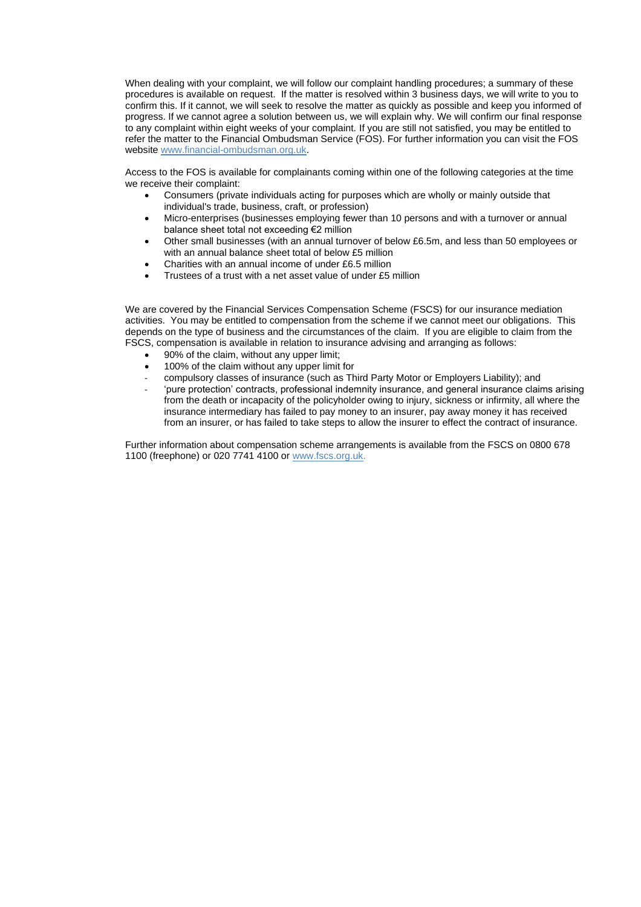When dealing with your complaint, we will follow our complaint handling procedures; a summary of these procedures is available on request. If the matter is resolved within 3 business days, we will write to you to confirm this. If it cannot, we will seek to resolve the matter as quickly as possible and keep you informed of progress. If we cannot agree a solution between us, we will explain why. We will confirm our final response to any complaint within eight weeks of your complaint. If you are still not satisfied, you may be entitled to refer the matter to the Financial Ombudsman Service (FOS). For further information you can visit the FOS website [www.financial-ombudsman.org.uk.](http://www.financial-ombudsman.org.uk/)

Access to the FOS is available for complainants coming within one of the following categories at the time we receive their complaint:

- Consumers (private individuals acting for purposes which are wholly or mainly outside that individual's trade, business, craft, or profession)
- Micro-enterprises (businesses employing fewer than 10 persons and with a turnover or annual balance sheet total not exceeding €2 million
- Other small businesses (with an annual turnover of below £6.5m, and less than 50 employees or with an annual balance sheet total of below £5 million
- Charities with an annual income of under £6.5 million
- Trustees of a trust with a net asset value of under £5 million

We are covered by the Financial Services Compensation Scheme (FSCS) for our insurance mediation activities. You may be entitled to compensation from the scheme if we cannot meet our obligations. This depends on the type of business and the circumstances of the claim. If you are eligible to claim from the FSCS, compensation is available in relation to insurance advising and arranging as follows:

- 90% of the claim, without any upper limit;
- 100% of the claim without any upper limit for
- compulsory classes of insurance (such as Third Party Motor or Employers Liability); and
- 'pure protection' contracts, professional indemnity insurance, and general insurance claims arising from the death or incapacity of the policyholder owing to injury, sickness or infirmity, all where the insurance intermediary has failed to pay money to an insurer, pay away money it has received from an insurer, or has failed to take steps to allow the insurer to effect the contract of insurance.

Further information about compensation scheme arrangements is available from the FSCS on 0800 678 1100 (freephone) or 020 7741 4100 o[r www.fscs.org.uk.](http://www.fscs.org.uk/)